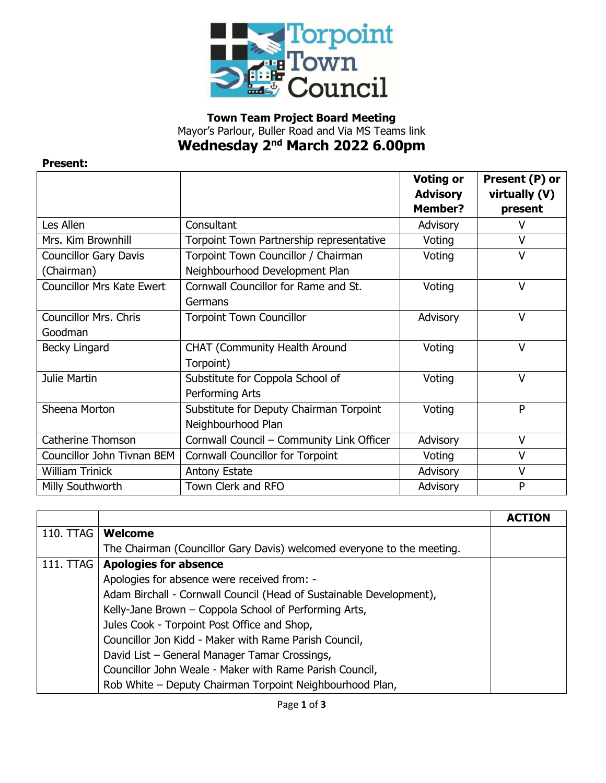

## **Town Team Project Board Meeting** Mayor's Parlour, Buller Road and Via MS Teams link **Wednesday 2 nd March 2022 6.00pm**

## **Present:**

|                                  |                                           | <b>Voting or</b><br><b>Advisory</b> | Present (P) or<br>virtually (V) |
|----------------------------------|-------------------------------------------|-------------------------------------|---------------------------------|
|                                  |                                           | Member?                             | present                         |
| Les Allen                        | Consultant                                | Advisory                            | V                               |
| Mrs. Kim Brownhill               | Torpoint Town Partnership representative  | Voting                              | V                               |
| <b>Councillor Gary Davis</b>     | Torpoint Town Councillor / Chairman       | Voting                              | $\vee$                          |
| (Chairman)                       | Neighbourhood Development Plan            |                                     |                                 |
| <b>Councillor Mrs Kate Ewert</b> | Cornwall Councillor for Rame and St.      | Voting                              | $\vee$                          |
|                                  | Germans                                   |                                     |                                 |
| <b>Councillor Mrs. Chris</b>     | <b>Torpoint Town Councillor</b>           | Advisory                            | $\vee$                          |
| Goodman                          |                                           |                                     |                                 |
| <b>Becky Lingard</b>             | <b>CHAT (Community Health Around</b>      | Voting                              | V                               |
|                                  | Torpoint)                                 |                                     |                                 |
| Julie Martin                     | Substitute for Coppola School of          | Voting                              | $\vee$                          |
|                                  | Performing Arts                           |                                     |                                 |
| Sheena Morton                    | Substitute for Deputy Chairman Torpoint   | Voting                              | P                               |
|                                  | Neighbourhood Plan                        |                                     |                                 |
| Catherine Thomson                | Cornwall Council - Community Link Officer | Advisory                            | $\vee$                          |
| Councillor John Tivnan BEM       | <b>Cornwall Councillor for Torpoint</b>   | Voting                              | V                               |
| <b>William Trinick</b>           | Antony Estate                             | Advisory                            | $\vee$                          |
| Milly Southworth                 | Town Clerk and RFO                        | Advisory                            | P                               |

|           |                                                                        | <b>ACTION</b> |
|-----------|------------------------------------------------------------------------|---------------|
| 110. TTAG | Welcome                                                                |               |
|           | The Chairman (Councillor Gary Davis) welcomed everyone to the meeting. |               |
|           | 111. TTAG   Apologies for absence                                      |               |
|           | Apologies for absence were received from: -                            |               |
|           | Adam Birchall - Cornwall Council (Head of Sustainable Development),    |               |
|           | Kelly-Jane Brown - Coppola School of Performing Arts,                  |               |
|           | Jules Cook - Torpoint Post Office and Shop,                            |               |
|           | Councillor Jon Kidd - Maker with Rame Parish Council,                  |               |
|           | David List - General Manager Tamar Crossings,                          |               |
|           | Councillor John Weale - Maker with Rame Parish Council,                |               |
|           | Rob White - Deputy Chairman Torpoint Neighbourhood Plan,               |               |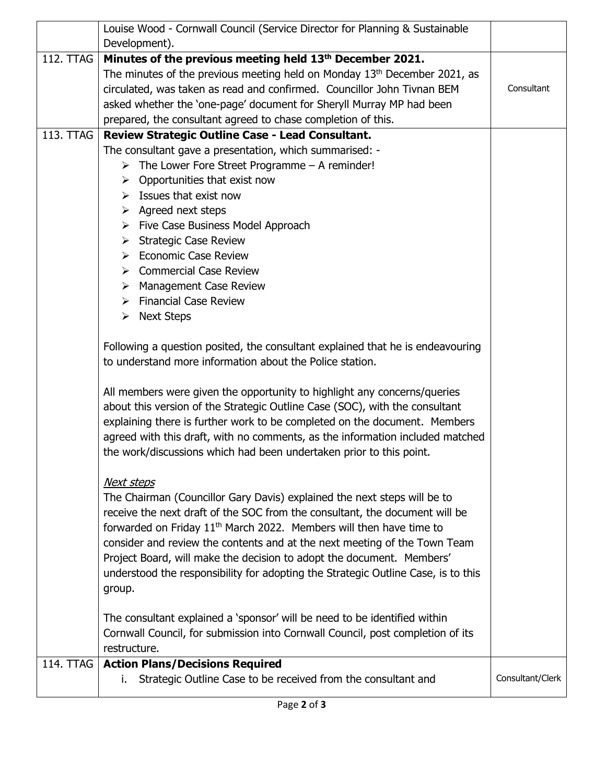|                  | Louise Wood - Cornwall Council (Service Director for Planning & Sustainable                                                                                                                                                                                                                                                                                                                                                                                                                                   |                  |
|------------------|---------------------------------------------------------------------------------------------------------------------------------------------------------------------------------------------------------------------------------------------------------------------------------------------------------------------------------------------------------------------------------------------------------------------------------------------------------------------------------------------------------------|------------------|
|                  | Development).                                                                                                                                                                                                                                                                                                                                                                                                                                                                                                 |                  |
| 112. TTAG        | Minutes of the previous meeting held 13th December 2021.                                                                                                                                                                                                                                                                                                                                                                                                                                                      |                  |
|                  | The minutes of the previous meeting held on Monday $13th$ December 2021, as                                                                                                                                                                                                                                                                                                                                                                                                                                   | Consultant       |
|                  | circulated, was taken as read and confirmed. Councillor John Tivnan BEM                                                                                                                                                                                                                                                                                                                                                                                                                                       |                  |
|                  | asked whether the 'one-page' document for Sheryll Murray MP had been                                                                                                                                                                                                                                                                                                                                                                                                                                          |                  |
|                  | prepared, the consultant agreed to chase completion of this.                                                                                                                                                                                                                                                                                                                                                                                                                                                  |                  |
| 113. TTAG        | Review Strategic Outline Case - Lead Consultant.                                                                                                                                                                                                                                                                                                                                                                                                                                                              |                  |
|                  | The consultant gave a presentation, which summarised: -                                                                                                                                                                                                                                                                                                                                                                                                                                                       |                  |
|                  | $\triangleright$ The Lower Fore Street Programme – A reminder!                                                                                                                                                                                                                                                                                                                                                                                                                                                |                  |
|                  | $\triangleright$ Opportunities that exist now                                                                                                                                                                                                                                                                                                                                                                                                                                                                 |                  |
|                  | $\triangleright$ Issues that exist now                                                                                                                                                                                                                                                                                                                                                                                                                                                                        |                  |
|                  | $\triangleright$ Agreed next steps                                                                                                                                                                                                                                                                                                                                                                                                                                                                            |                  |
|                  | $\triangleright$ Five Case Business Model Approach                                                                                                                                                                                                                                                                                                                                                                                                                                                            |                  |
|                  | $\triangleright$ Strategic Case Review                                                                                                                                                                                                                                                                                                                                                                                                                                                                        |                  |
|                  | $\triangleright$ Economic Case Review                                                                                                                                                                                                                                                                                                                                                                                                                                                                         |                  |
|                  | $\triangleright$ Commercial Case Review                                                                                                                                                                                                                                                                                                                                                                                                                                                                       |                  |
|                  | <b>Management Case Review</b><br>≻                                                                                                                                                                                                                                                                                                                                                                                                                                                                            |                  |
|                  | $\triangleright$ Financial Case Review                                                                                                                                                                                                                                                                                                                                                                                                                                                                        |                  |
|                  | <b>Next Steps</b><br>➤                                                                                                                                                                                                                                                                                                                                                                                                                                                                                        |                  |
|                  | Following a question posited, the consultant explained that he is endeavouring<br>to understand more information about the Police station.                                                                                                                                                                                                                                                                                                                                                                    |                  |
|                  | All members were given the opportunity to highlight any concerns/queries<br>about this version of the Strategic Outline Case (SOC), with the consultant<br>explaining there is further work to be completed on the document. Members<br>agreed with this draft, with no comments, as the information included matched<br>the work/discussions which had been undertaken prior to this point.                                                                                                                  |                  |
|                  | Next steps<br>The Chairman (Councillor Gary Davis) explained the next steps will be to<br>receive the next draft of the SOC from the consultant, the document will be<br>forwarded on Friday 11 <sup>th</sup> March 2022. Members will then have time to<br>consider and review the contents and at the next meeting of the Town Team<br>Project Board, will make the decision to adopt the document. Members'<br>understood the responsibility for adopting the Strategic Outline Case, is to this<br>group. |                  |
|                  | The consultant explained a 'sponsor' will be need to be identified within<br>Cornwall Council, for submission into Cornwall Council, post completion of its<br>restructure.                                                                                                                                                                                                                                                                                                                                   |                  |
| <b>114. TTAG</b> | <b>Action Plans/Decisions Required</b>                                                                                                                                                                                                                                                                                                                                                                                                                                                                        |                  |
|                  | Strategic Outline Case to be received from the consultant and<br>i.                                                                                                                                                                                                                                                                                                                                                                                                                                           | Consultant/Clerk |